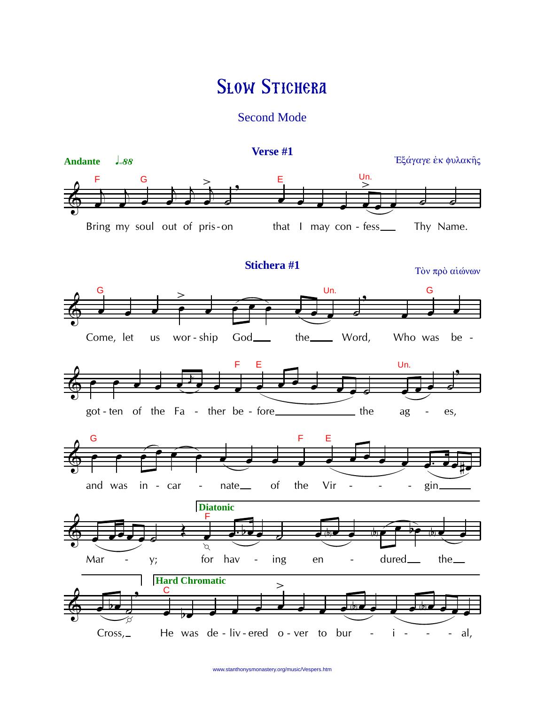## **SLOW STICHERA**

**Second Mode** 

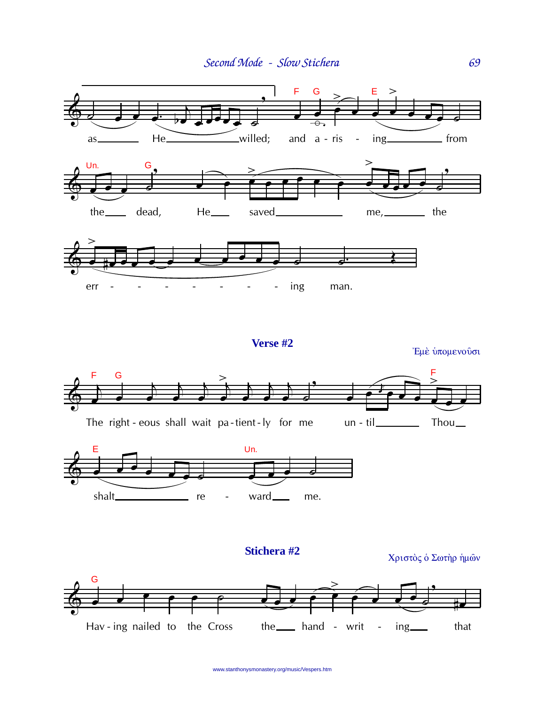

## Verse #2

Εμέ ύπομενούσι





Stichera #2

Χριστός ό Σωτήρ ήμών

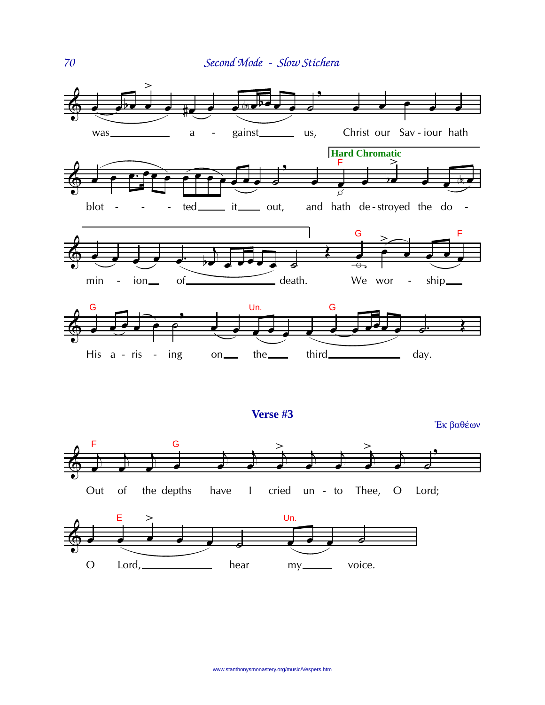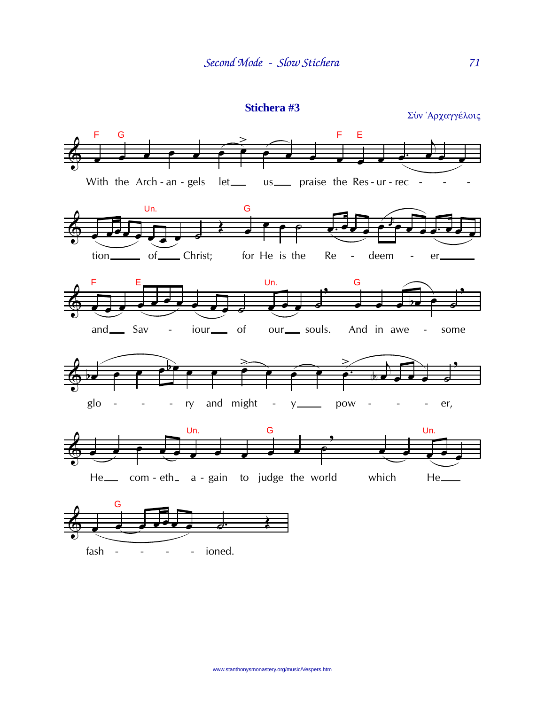```
Stichera #3
```
Σύν Αρχαγγέλοις



fash  $\mathcal{L}_{\mathcal{A}}$ - ioned.  $\omega_{\rm{max}}$  $\Box$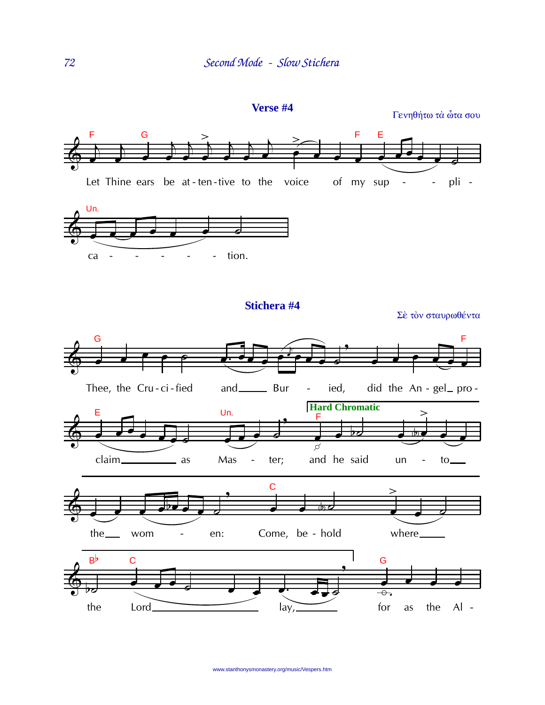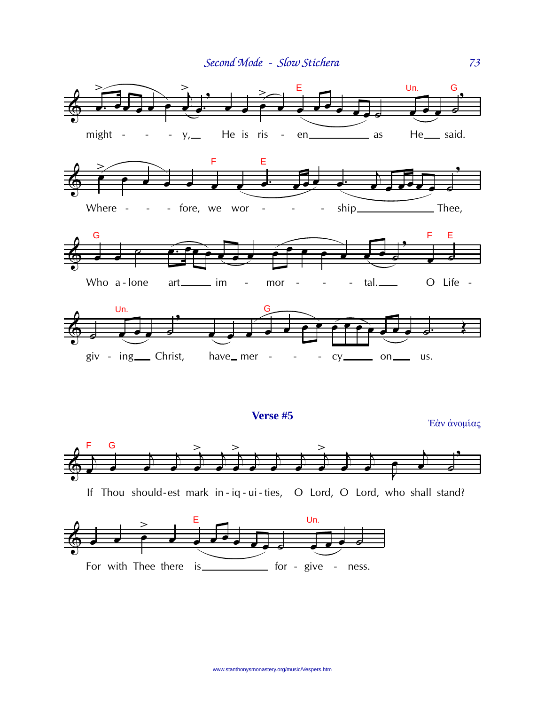Second Mode - Slow Stichera







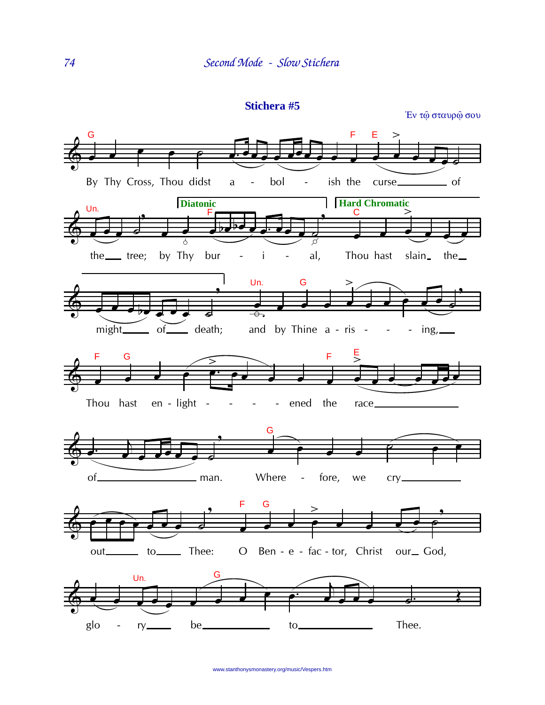Stichera #5

Έν τώ σταυρώ σου



www.stanthonysmonastery.org/music/Vespers.htm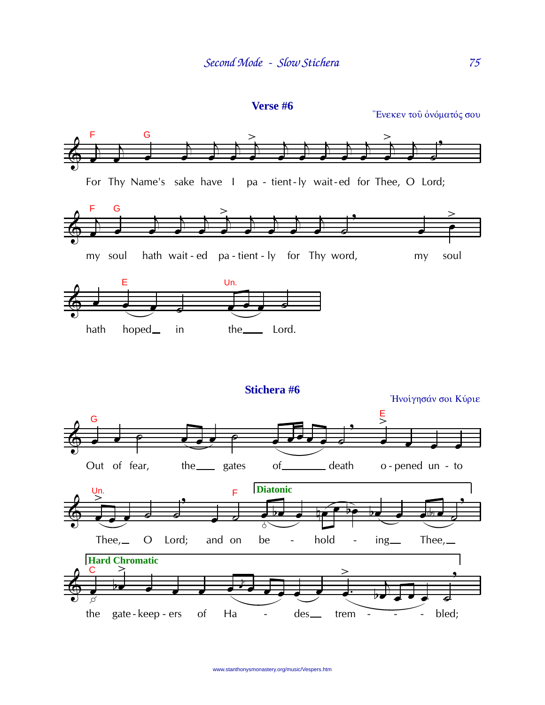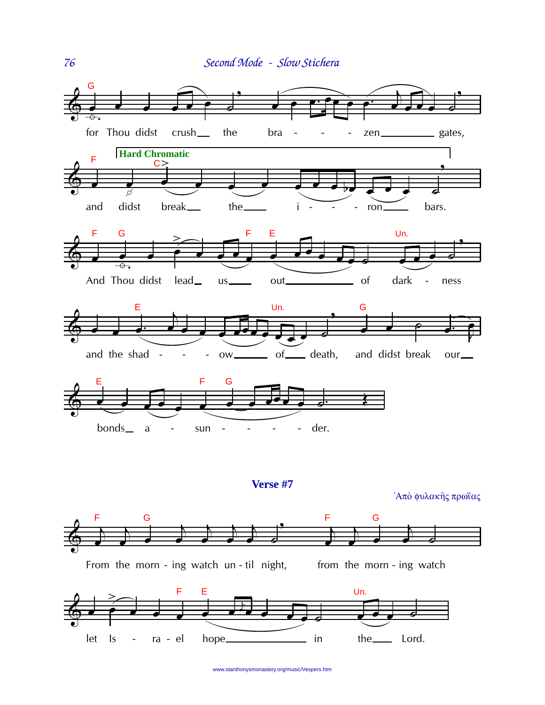76



www.stanthonysmonastery.org/music/Vespers.htm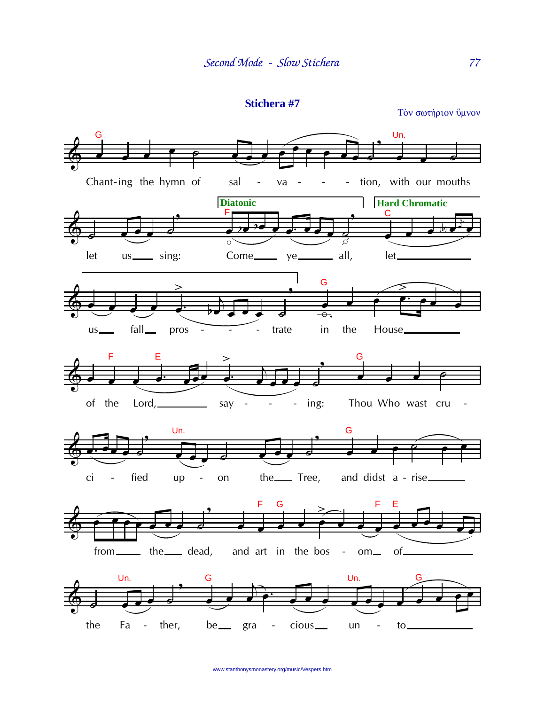Stichera #7

Τὸν σωτήριον ὕμνον

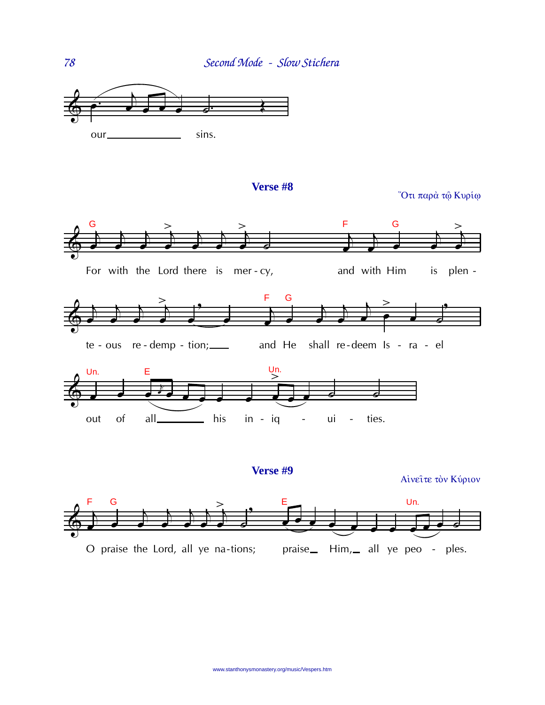

## Verse #8

Ότι παρά τω Κυρίω